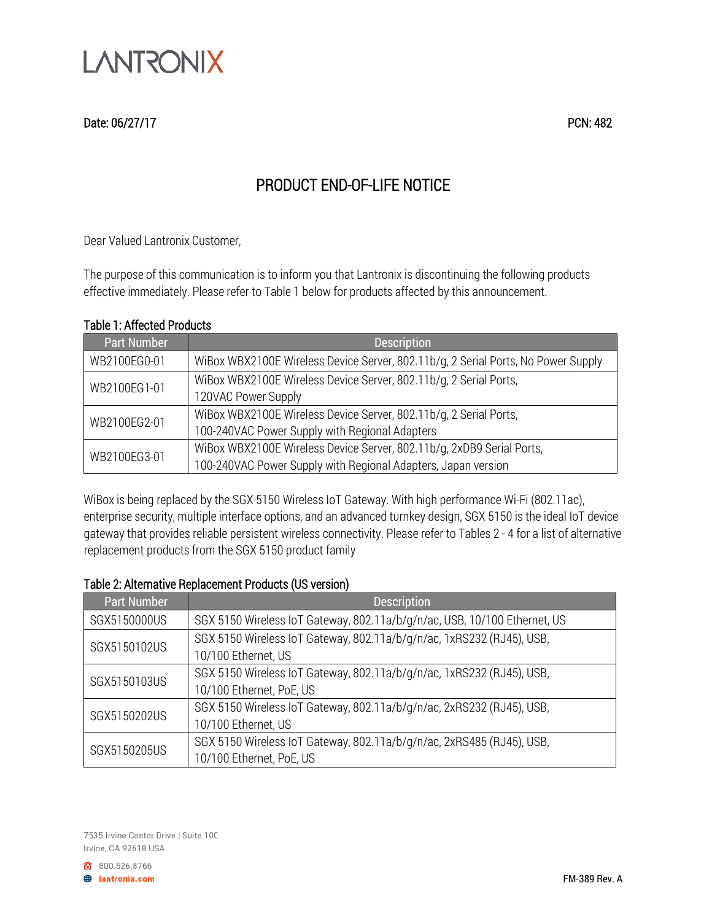

# PRODUCT END-OF-LIFE NOTICE

Dear Valued Lantronix Customer,

The purpose of this communication is to inform you that Lantronix is discontinuing the following products effective immediately. Please refer to Table 1 below for products affected by this announcement.

### Table 1: Affected Products

| <b>Part Number</b> | <b>Description</b>                                                                |
|--------------------|-----------------------------------------------------------------------------------|
| WB2100EG0-01       | WiBox WBX2100E Wireless Device Server, 802.11b/g, 2 Serial Ports, No Power Supply |
| WB2100EG1-01       | WiBox WBX2100E Wireless Device Server, 802.11b/g, 2 Serial Ports,                 |
|                    | 120VAC Power Supply                                                               |
| WB2100EG2-01       | WiBox WBX2100E Wireless Device Server, 802.11b/g, 2 Serial Ports,                 |
|                    | 100-240VAC Power Supply with Regional Adapters                                    |
| WB2100EG3-01       | WiBox WBX2100E Wireless Device Server, 802.11b/g, 2xDB9 Serial Ports,             |
|                    | 100-240VAC Power Supply with Regional Adapters, Japan version                     |

WiBox is being replaced by the SGX 5150 Wireless IoT Gateway. With high performance Wi-Fi (802.11ac), enterprise security, multiple interface options, and an advanced turnkey design, SGX 5150 is the ideal IoT device gateway that provides reliable persistent wireless connectivity. Please refer to Tables 2 - 4 for a list of alternative replacement products from the SGX 5150 product family

#### Table 2: Alternative Replacement Products (US version)

| <b>Part Number</b> | <b>Description</b>                                                        |
|--------------------|---------------------------------------------------------------------------|
| SGX5150000US       | SGX 5150 Wireless IoT Gateway, 802.11a/b/g/n/ac, USB, 10/100 Ethernet, US |
| SGX5150102US       | SGX 5150 Wireless IoT Gateway, 802.11a/b/g/n/ac, 1xRS232 (RJ45), USB,     |
|                    | 10/100 Ethernet, US                                                       |
| SGX5150103US       | SGX 5150 Wireless IoT Gateway, 802.11a/b/g/n/ac, 1xRS232 (RJ45), USB,     |
|                    | 10/100 Ethernet, PoE, US                                                  |
| SGX5150202US       | SGX 5150 Wireless IoT Gateway, 802.11a/b/g/n/ac, 2xRS232 (RJ45), USB,     |
|                    | 10/100 Ethernet, US                                                       |
| SGX5150205US       | SGX 5150 Wireless IoT Gateway, 802.11a/b/g/n/ac, 2xRS485 (RJ45), USB,     |
|                    | 10/100 Ethernet, PoE, US                                                  |

800.526.8766 **B** lantronix.com